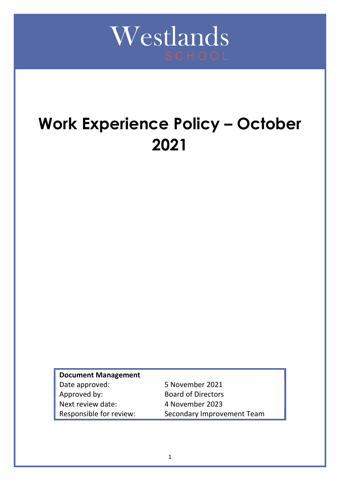

# Work Experience Policy – October 2021

Document Management Date approved: 5 November 2021 Approved by: Board of Directors Next review date: 4 November 2023 Responsible for review: Secondary Improvement Team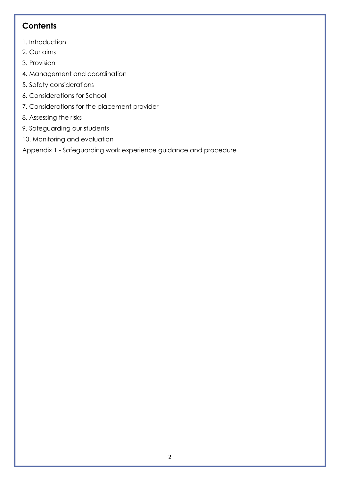# **Contents**

- 1. Introduction
- 2. Our aims
- 3. Provision
- 4. Management and coordination
- 5. Safety considerations
- 6. Considerations for School
- 7. Considerations for the placement provider
- 8. Assessing the risks
- 9. Safeguarding our students
- 10. Monitoring and evaluation

Appendix 1 - Safeguarding work experience guidance and procedure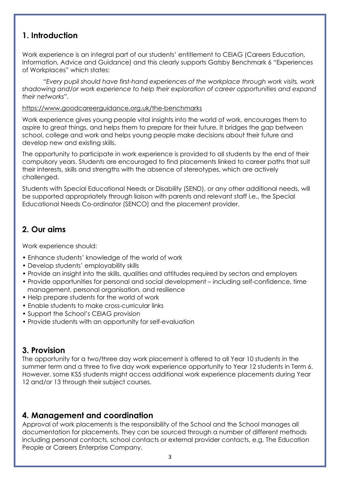## 1. Introduction

Work experience is an integral part of our students' entitlement to CEIAG (Careers Education, Information, Advice and Guidance) and this clearly supports Gatsby Benchmark 6 "Experiences of Workplaces" which states:

 "Every pupil should have first-hand experiences of the workplace through work visits, work shadowing and/or work experience to help their exploration of career opportunities and expand their networks".

#### https://www.goodcareerguidance.org.uk/the-benchmarks

Work experience gives young people vital insights into the world of work, encourages them to aspire to great things, and helps them to prepare for their future. It bridges the gap between school, college and work and helps young people make decisions about their future and develop new and existing skills.

The opportunity to participate in work experience is provided to all students by the end of their compulsory years. Students are encouraged to find placements linked to career paths that suit their interests, skills and strengths with the absence of stereotypes, which are actively challenged.

Students with Special Educational Needs or Disability (SEND), or any other additional needs, will be supported appropriately through liaison with parents and relevant staff i.e., the Special Educational Needs Co-ordinator (SENCO) and the placement provider.

# 2. Our aims

Work experience should:

- Enhance students' knowledge of the world of work
- Develop students' employability skills
- Provide an insight into the skills, qualities and attitudes required by sectors and employers
- Provide opportunities for personal and social development including self-confidence, time management, personal organisation, and resilience
- Help prepare students for the world of work
- Enable students to make cross-curricular links
- Support the School's CEIAG provision
- Provide students with an opportunity for self-evaluation

# 3. Provision

The opportunity for a two/three day work placement is offered to all Year 10 students in the summer term and a three to five day work experience opportunity to Year 12 students in Term 6. However, some KS5 students might access additional work experience placements during Year 12 and/or 13 through their subject courses.

# 4. Management and coordination

Approval of work placements is the responsibility of the School and the School manages all documentation for placements. They can be sourced through a number of different methods including personal contacts, school contacts or external provider contacts, e.g. The Education People or Careers Enterprise Company.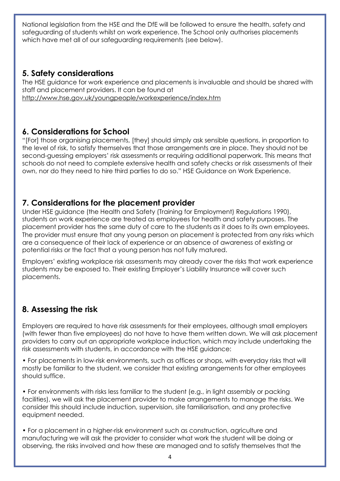National legislation from the HSE and the DfE will be followed to ensure the health, safety and safeguarding of students whilst on work experience. The School only authorises placements which have met all of our safeguarding requirements (see below).

## 5. Safety considerations

The HSE guidance for work experience and placements is invaluable and should be shared with staff and placement providers. It can be found at http://www.hse.gov.uk/youngpeople/workexperience/index.htm

## 6. Considerations for School

"[For] those organising placements, [they] should simply ask sensible questions, in proportion to the level of risk, to satisfy themselves that those arrangements are in place. They should not be second-guessing employers' risk assessments or requiring additional paperwork. This means that schools do not need to complete extensive health and safety checks or risk assessments of their own, nor do they need to hire third parties to do so." HSE Guidance on Work Experience.

# 7. Considerations for the placement provider

Under HSE guidance (the Health and Safety (Training for Employment) Regulations 1990), students on work experience are treated as employees for health and safety purposes. The placement provider has the same duty of care to the students as it does to its own employees. The provider must ensure that any young person on placement is protected from any risks which are a consequence of their lack of experience or an absence of awareness of existing or potential risks or the fact that a young person has not fully matured.

Employers' existing workplace risk assessments may already cover the risks that work experience students may be exposed to. Their existing Employer's Liability Insurance will cover such placements.

# 8. Assessing the risk

Employers are required to have risk assessments for their employees, although small employers (with fewer than five employees) do not have to have them written down. We will ask placement providers to carry out an appropriate workplace induction, which may include undertaking the risk assessments with students, in accordance with the HSE guidance:

• For placements in low-risk environments, such as offices or shops, with everyday risks that will mostly be familiar to the student, we consider that existing arrangements for other employees should suffice.

• For environments with risks less familiar to the student (e.g., in light assembly or packing facilities), we will ask the placement provider to make arrangements to manage the risks. We consider this should include induction, supervision, site familiarisation, and any protective equipment needed.

• For a placement in a higher-risk environment such as construction, agriculture and manufacturing we will ask the provider to consider what work the student will be doing or observing, the risks involved and how these are managed and to satisfy themselves that the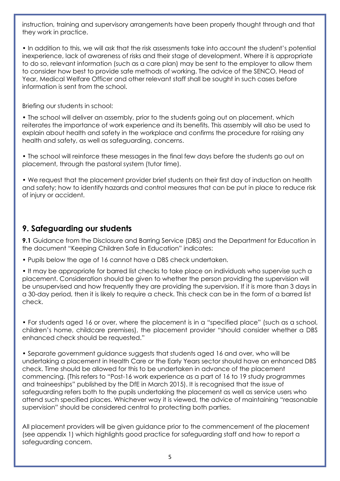instruction, training and supervisory arrangements have been properly thought through and that they work in practice.

• In addition to this, we will ask that the risk assessments take into account the student's potential inexperience, lack of awareness of risks and their stage of development. Where it is appropriate to do so, relevant information (such as a care plan) may be sent to the employer to allow them to consider how best to provide safe methods of working. The advice of the SENCO, Head of Year, Medical Welfare Officer and other relevant staff shall be sought in such cases before information is sent from the school.

Briefing our students in school:

• The school will deliver an assembly, prior to the students going out on placement, which reiterates the importance of work experience and its benefits. This assembly will also be used to explain about health and safety in the workplace and confirms the procedure for raising any health and safety, as well as safeguarding, concerns.

• The school will reinforce these messages in the final few days before the students go out on placement, through the pastoral system (tutor time).

• We request that the placement provider brief students on their first day of induction on health and safety; how to identify hazards and control measures that can be put in place to reduce risk of injury or accident.

# 9. Safeguarding our students

9.1 Guidance from the Disclosure and Barring Service (DBS) and the Department for Education in the document "Keeping Children Safe in Education" indicates:

• Pupils below the age of 16 cannot have a DBS check undertaken.

• It may be appropriate for barred list checks to take place on individuals who supervise such a placement. Consideration should be given to whether the person providing the supervision will be unsupervised and how frequently they are providing the supervision. If it is more than 3 days in a 30-day period, then it is likely to require a check. This check can be in the form of a barred list check.

• For students aged 16 or over, where the placement is in a "specified place" (such as a school, children's home, childcare premises), the placement provider "should consider whether a DBS enhanced check should be requested."

• Separate government guidance suggests that students aged 16 and over, who will be undertaking a placement in Health Care or the Early Years sector should have an enhanced DBS check. Time should be allowed for this to be undertaken in advance of the placement commencing. (This refers to "Post-16 work experience as a part of 16 to 19 study programmes and traineeships" published by the DfE in March 2015). It is recognised that the issue of safeguarding refers both to the pupils undertaking the placement as well as service users who attend such specified places. Whichever way it is viewed, the advice of maintaining "reasonable supervision" should be considered central to protecting both parties.

All placement providers will be given guidance prior to the commencement of the placement (see appendix 1) which highlights good practice for safeguarding staff and how to report a safeguarding concern.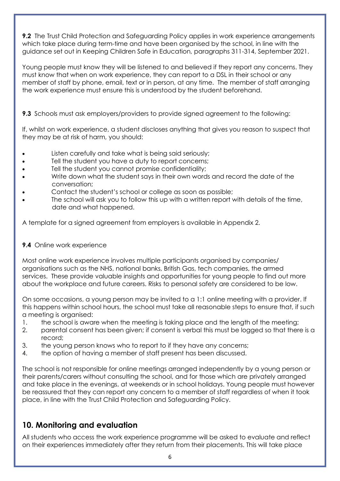**9.2** The Trust Child Protection and Safeguarding Policy applies in work experience arrangements which take place during term-time and have been organised by the school, in line with the guidance set out in Keeping Children Safe in Education, paragraphs 311-314, September 2021.

Young people must know they will be listened to and believed if they report any concerns. They must know that when on work experience, they can report to a DSL in their school or any member of staff by phone, email, text or in person, at any time. The member of staff arranging the work experience must ensure this is understood by the student beforehand.

## **9.3** Schools must ask employers/providers to provide signed agreement to the following:

If, whilst on work experience, a student discloses anything that gives you reason to suspect that they may be at risk of harm, you should:

- Listen carefully and take what is being said seriously;
- Tell the student you have a duty to report concerns;
- Tell the student you cannot promise confidentiality;
- Write down what the student says in their own words and record the date of the conversation;
- Contact the student's school or college as soon as possible;
- The school will ask you to follow this up with a written report with details of the time, date and what happened.

A template for a signed agreement from employers is available in Appendix 2.

## **9.4** Online work experience

Most online work experience involves multiple participants organised by companies/ organisations such as the NHS, national banks, British Gas, tech companies, the armed services. These provide valuable insights and opportunities for young people to find out more about the workplace and future careers. Risks to personal safety are considered to be low.

On some occasions, a young person may be invited to a 1:1 online meeting with a provider. If this happens within school hours, the school must take all reasonable steps to ensure that, if such a meeting is organised:

- 1. the school is aware when the meeting is taking place and the length of the meeting;
- 2. parental consent has been given; if consent is verbal this must be logged so that there is a record;
- 3. the young person knows who to report to if they have any concerns;
- 4. the option of having a member of staff present has been discussed.

The school is not responsible for online meetings arranged independently by a young person or their parents/carers without consulting the school, and for those which are privately arranged and take place in the evenings, at weekends or in school holidays. Young people must however be reassured that they can report any concern to a member of staff regardless of when it took place, in line with the Trust Child Protection and Safeguarding Policy.

# 10. Monitoring and evaluation

All students who access the work experience programme will be asked to evaluate and reflect on their experiences immediately after they return from their placements. This will take place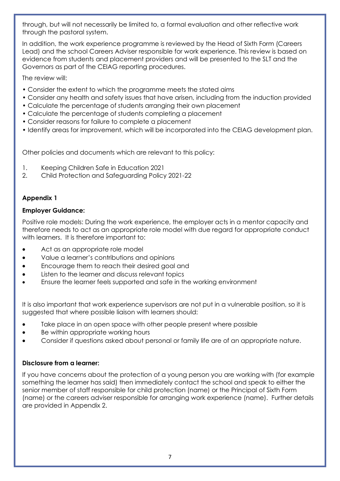through, but will not necessarily be limited to, a formal evaluation and other reflective work through the pastoral system.

In addition, the work experience programme is reviewed by the Head of Sixth Form (Careers Lead) and the school Careers Adviser responsible for work experience. This review is based on evidence from students and placement providers and will be presented to the SLT and the Governors as part of the CEIAG reporting procedures.

The review will:

- Consider the extent to which the programme meets the stated aims
- Consider any health and safety issues that have arisen, including from the induction provided
- Calculate the percentage of students arranging their own placement
- Calculate the percentage of students completing a placement
- Consider reasons for failure to complete a placement
- Identify areas for improvement, which will be incorporated into the CEIAG development plan.

Other policies and documents which are relevant to this policy:

- 1. Keeping Children Safe in Education 2021
- 2. Child Protection and Safeguarding Policy 2021-22

## Appendix 1

### Employer Guidance:

Positive role models: During the work experience, the employer acts in a mentor capacity and therefore needs to act as an appropriate role model with due regard for appropriate conduct with learners. It is therefore important to:

- Act as an appropriate role model
- Value a learner's contributions and opinions
- Encourage them to reach their desired goal and
- Listen to the learner and discuss relevant topics
- Ensure the learner feels supported and safe in the working environment

It is also important that work experience supervisors are not put in a vulnerable position, so it is suggested that where possible liaison with learners should:

- Take place in an open space with other people present where possible
- Be within appropriate working hours
- Consider if questions asked about personal or family life are of an appropriate nature.

### Disclosure from a learner:

If you have concerns about the protection of a young person you are working with (for example something the learner has said) then immediately contact the school and speak to either the senior member of staff responsible for child protection (name) or the Principal of Sixth Form (name) or the careers adviser responsible for arranging work experience (name). Further details are provided in Appendix 2.